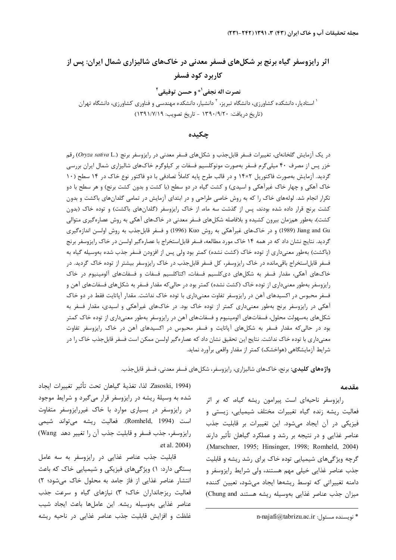# اثر رایزوسفر گیاه برنج بر شکلهای فسفر معدنی در خاکهای شالیزاری شمال ایران: پس از كاربرد كود فسفر

نصرت اله نجفي<sup>1</sup>\* و حسن توفيقي<sup>1</sup>

<sup>۱</sup> استادیار، دانشکده کشاورزی، دانشگاه تبریز، <sup>۲</sup> دانشیار، دانشکده مهندسی و فناوری کشاورزی، دانشگاه تهران (تاريخ دريافت: ١٣٩٠/٩/٢٠ - تاريخ تصويب: ١٣٩١/٧/١٩)

### چکىدە

در یک آزمایش گلخانهای، تغییرات فسفر قابل جذب و شکلهای فسفر معدنی در رایزوسفر برنج (Oryza sativa L.) رقم خزر پس از مصرف ۴۰ میلیگرم فسفر بهصورت مونوکلسیم فسفات بر کیلوگرم خاکهای شالیزاری شمال ایران بررسی گردید. آزمایش بهصورت فاکتوریل ۱۴×۱۴ و در قالب طرح پایه کاملاً تصادفی با دو فاکتور نوع خاک در ۱۴ سطح (۱۰ خاک آهکی و چهار خاک غیرآهکی و اسیدی) و کشت گیاه در دو سطح (با کشت و بدون کشت برنج) و هر سطح با دو تکرار انجام شد. لولههای خاک را که به روش خاصی طراحی و در ابتدای آزمایش در تمامی گلدانهای باکشت و بدون کشت برنج قرار داده شده بودند، پس از گذشت سه ماه، از خاک رایزوسفر (گلدانهای باکشت) و توده خاک (بدون کشت)، بهطور همزمان بیرون کشیده و بلافاصله شکلهای فسفر معدنی در خاکهای آهکی به روش عصارهگیری متوالی Jiang and Gu (1989) و در خاکهای غیرآهکی به روش Kuo (1996) و فسفر قابل جذب به روش اولسن اندازهگیری گردید. نتایج نشان داد که در همه ۱۴ خاک مورد مطالعه، فسفر قابل|ستخراج با عصارهگیر اولسن در خاک رایزوسفر برنج (باکشت) بهطور معنیداری از توده خاک (کشت نشده) کمتر بود ولی پس از افزودن فسفر جذب شده بهوسیله گیاه به فسفر قابل|ستخراج باقیمانده در خاک رایزوسفر، کل فسفر قابلجذب در خاک رایزوسفر بیشتر از توده خاک گردید. در خاکهای آهکی، مقدار فسفر به شکلهای دیکلسیم فسفات، اکتاکلسیم فسفات و فسفاتهای آلومینیوم در خاک رایزوسفر بهطور معنیداری از توده خاک (کشت نشده) کمتر بود در حالی که مقدار فسفر به شکلهای فسفاتهای آهن و فسفر محبوس در اکسیدهای آهن در رایزوسفر تفاوت معنیداری با توده خاک نداشت. مقدار آپاتایت فقط در دو خاک آهکی در رایزوسفر برنج بهطور معنیداری کمتر از توده خاک بود. در خاکهای غیرآهکی و اسیدی، مقدار فسفر به شکلهای بهسهولت محلول، فسفاتهای آلومینیوم و فسفاتهای آهن در رایزوسفر بهطور معنیداری از توده خاک کمتر بود در حالیکه مقدار فسفر به شکلهای آپاتایت و فسفر محبوس در اکسیدهای آهن در خاک رایزوسفر تفاوت معنیداری با توده خاک نداشت. نتایج این تحقیق نشان داد که عصار هگیر اولسن ممکن است فسفر قابلجذب خاک را در شرایط آزمایشگاهی (هواخشک) کمتر از مقدار واقعی برآورد نماید.

**واژههای کلیدی:** برنج، خاکهای شالیزاری، رایزوسفر، شکلهای فسفر معدنی، فسفر قابلجذب.

#### مقدمه

رایزوسفر ناحیهای است پیرامون ریشه گیاه، که بر اثر فعالیت ریشه زنده گیاه تغییرات مختلف شیمیایی، زیستی و فیزیکی در آن ایجاد میشود. این تغییرات بر قابلیت جذب عناصر غذایی و در نتیجه بر رشد و عملکرد گیاهان تأثیر دارند .(Marschner, 1995; Hinsinger, 1998; Romheld, 2004). گرچه ویژگیهای شیمیایی توده خاک برای رشد ریشه و قابلیت جذب عناصر غذایی خیلی مهم هستند، ولی شرایط رایزوسفر و دامنه تغییراتی که توسط ریشهها ایجاد می شود، تعیین کننده میزان جذب عناصر غذایی بهوسیله ریشه هستند Chung and)

Zasoski, 1994). لذا، تغذيهٔ گياهان تحت تأثير تغييرات ايجاد شده به وسیلهٔ ریشه در رایزوسفر قرار میگیرد و شرایط موجود در رایزوسفر در بسیاری موارد با خاک غیررایزوسفر متفاوت است (Romheld, 1994). فعاليت ريشه مىتواند شيمى رايزوسفر، جذب فسفر و قابليت جذب آن را تغيير دهد Wang) et al. 2004)

قابلیت جذب عناصر غذایی در رایزوسفر به سه عامل بستگی دارد: ۱) ویژگیهای فیزیکی و شیمیایی خاک که باعث انتشار عناصر غذایی از فاز جامد به محلول خاک می شود؛ ٢) فعالیت ریزجانداران خاک؛ ٣) نیازهای گیاه و سرعت جذب عناصر غذايي بهوسيله ريشه. اين عاملها باعث ايجاد شيب غلظت و افزايش قابليت جذب عناصر غذايي در ناحيه ريشه

n-najafi@tabrizu.ac.ir : نويسنده مسئول abrizu.ac.ir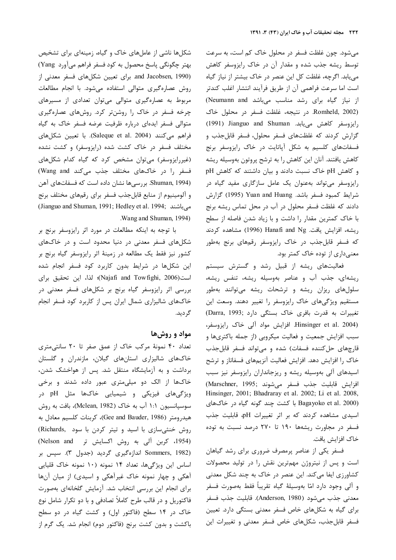میشود. چون غلظت فسفر در محلول خاک کم است، به سرعت نوسط ریشه جذب شده و مقدار آن در خاک رایزوسفر کاهش مییابد. اگرچه، غلظت کل این عنصر در خاک بیشتر از نیاز گیاه ست اما سرعت فراهمي آن از طريق فرآيند انتشار اغلب كندتر ز نیاز گیاه برای رشد مناسب میباشد Neumann and Romheld, 2002). در نتيجه، غلظت فسفر در محلول خاک رايزوسفر كاهش مىيابد. Jianguo and Shuman (1991) گزارش کردند که غلظتهای فسفر محلول، فسفر قابلجذب و فسفاتهای کلسیم به شکل آپاتایت در خاک رایزوسفر برنج كاهش يافتند. آنان اين كاهش را به ترشح پروتون بهوسيله ريشه  $pH$  و کاهش  $pH$  خاک نسبت دادند و بیان داشتند که کاهش رایزوسفر میتواند بهعنوان یک عامل سازگاری مفید گیاه در شرايط كمبود فسفر باشد. Yuan and Huang (1995) گزارش دادند که غلظت فسفر محلول در آب در محل تماس ریشه برنج با خاک کمترین مقدار را داشت و با زیاد شدن فاصله از سطح ريشه، افزايش يافت. Hanafi and Ng (1996) مشاهده كردند که فسفر قابلجذب در خاک رایزوسفر رقمهای برنج بهطور معنىدارى از توده خاک کمتر بود.

فعالیتهای ریشه از قبیل رشد و گسترش سیستم <sub>ن</sub>یشهای، جذب آب و عناصر بهوسیله ریشه، تنفس ریشه، سلولهای ریزان ریشه و ترشحات ریشه میتوانند بهطور مستقیم ویژگیهای خاک رایزوسفر را تغییر دهند. وسعت این نغييرات به قدرت بافرى خاك بستگى دارد ;Darra, 1993 Hinsinger et al. 2004). افزایش مواد آلی خاک رایزوسفر، سبب افزایش جمعیت و فعالیت میکروبی (از جمله باکتریها و قارچهای حل کننده فسفات) شده و میتواند فسفر قابلجذب خاک را افزایش دهد. افزایش فعالیت آنزیمهای فسفاتاز و ترشح سیدهای آلی بهوسیله ریشه و ریزجانداران رایزوسفر نیز سبب (Marschner, 1995; فسفر مى شوند (Marschner, 1995) Hinsinger, 2001; Bhadraray et al. 2002; Li et al. 2008, Bagayoko et al. 2000) با کشت چند گونه گیاه در خاکهای اسیدی مشاهده کردند که بر اثر تغییرات pH، قابلیت جذب فسفر در مجاورت ریشهها ۱۹۰ تا ۲۷۰ درصد نسبت به توده خاک افزایش یافت.

فسفر یکی از عناصر پرمصرف ضروری برای رشد گیاهان ست و پس از نیتروژن مهمترین نقش را در تولید محصولات کشاورزی ایفا میکند. این عنصر در خاک به چند شکل معدنی و آلي وجود دارد امّا بهوسيلهٔ گياه تقريباً فقط بهصورت فسفر معدني جذب مي شود (Anderson, 1980). قابليت جذب فسفر برای گیاه به شکلهای خاص فسفر معدنی بستگی دارد. تعیین فسفر قابل جذب، شكلهاى خاص فسفر معدنى و تغييرات اين

شکلها ناشی از عاملهای خاک و گیاه، زمینهای برای تشخیص بهتر چگونگي پاسخ محصول به كود فسفر فراهم ميآورد Yang ) and Jacobsen, 1990). برای تعیین شکلهای فسفر معدنی از روش عصارهگیری متوالی استفاده میشود. با انجام مطالعات مربوط به عصارهگیری متوالی میتوان تعدادی از مسیرهای چرخه فسفر در خاک را روشنتر کرد. روشهای عصارهگیری متوالی فسفر ایدهای درباره ظرفیت عرضه فسفر خاک به گیاه فراهم میکنند (Saleque et al. 2004). با تعیین شکلهای مختلف فسفر در خاک کشت شده (رایزوسفر) و کشت نشده (غیررایزوسفر) میتوان مشخص کرد که گیاه کدام شکلهای فسفر را در خاکهای مختلف جذب میکند Wang and) (Shuman, 1994. بررسیها نشان داده است که فسفاتهای آهن و آلومینیوم از منابع قابلجذب فسفر برای رقمهای مختلف برنج (Jianguo and Shuman, 1991; Hedley et al. 1994; میباشند . Wang and Shuman, 1994)

با توجه به اینکه مطالعات در مورد اثر رایزوسفر برنج بر شکلهای فسفر معدنی در دنیا محدود است و در خاکهای کشور نیز فقط یک مطالعه در زمینهٔ اثر رایزوسفر گیاه برنج بر این شکلها در شرایط بدون کاربرد کود فسفر انجام شده است(Najafi and Towfighi, 2006)؛ لذا، این تحقیق برای بررسی اثر رایزوسفر گیاه برنج بر شکلهای فسفر معدنی در خاکهای شالیزاری شمال ایران پس از کاربرد کود فسفر انجام گر دید.

## مواد و روشها

تعداد ۴۰ نمونهٔ مرکب خاک از عمق صفر تا ۲۰ سانتی متری خاکهای شالیزاری استانهای گیلان، مازندران و گلستان برداشت و به آزمایشگاه منتقل شد. پس از هواخشک شدن، خاکها از الک دو میلی متری عبور داده شدند و برخی ویژگیهای فیزیکی و شیمیایی خاکها مثل pH در سوسپانسیون ۱:۱ آب به خاک (Mclean, 1982)، بافت به روش هيدرومتر (Gee and Bauder, 1986)، كربنات كلسيم معادل به روش خنثی سازی با اسید و تیتر کردن با سود (Richards (1954، كربن آلي به روش اكسايش تر Nelson and) (1982 Sommers, 1982 اندازہگیری گردید (جدول ۳). سیس بر اساس این ویژگیها، تعداد ۱۴ نمونه (۱۰ نمونه خاک قلیایی آهکی و چهار نمونه خاک غیرآهکی و اسیدی) از میان آنها برای انجام این بررسی انتخاب شد. آزمایش گلخانهای بهصورت فاکتوریل و در قالب طرح کاملاً تصادفی و با دو تکرار شامل نوع خاک در ۱۴ سطح (فاکتور اول) و کشت گیاه در دو سطح باکشت و بدون کشت برنج (فاکتور دوم) انجام شد. یک گرم از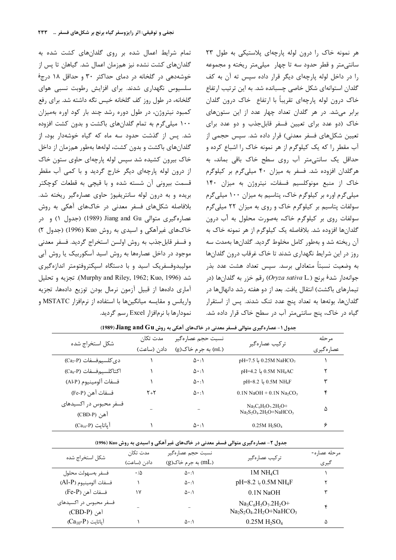تمام شرایط اعمال شده بر روی گلدانهای کشت شده به گلدانهای کشت نشده نیز همزمان اعمال شد. گیاهان تا پس از خوشهدهی در گلخانه در دمای حداکثر ۳۰ و حداقل ۱۸ درج<sup>ۀ</sup> سلسیوس نگهداری شدند. برای افزایش رطوبت نسبی هوای گلخانه، در طول روز کف گلخانه خیس نگه داشته شد. برای رفع کمبود نیتروژن، در طول دوره رشد چند بار کود اوره بهمیزان ۱۰۰ میلی گرم به تمام گلدانهای باکشت و بدون کشت افزوده شد. پس از گذشت حدود سه ماه که گیاه خوشهدار بود، از گلدانهای باکشت و بدون کشت، لولهها بهطور همزمان از داخل خاک بیرون کشیده شد سیس لوله پارچهای حاوی ستون خاک از درون لوله پارچهای دیگر خارج گردید و با کمی آب مقطر قسمت بیرونی آن شسته شده و با قیچی به قطعات کوچکتر بریده و به درون لوله سانتریفیوژ حاوی عصارهگیر ریخته شد. بلافاصله شکلهای فسفر معدنی در خاکهای آهکی به روش عصارهگیری متوالی Jiang and Gu (1989) (جدول ۱) و در خاکهای غیرآهکی و اسیدی به روش Kuo (1996) (جدول ۲) و فسفر قابل جذب به روش اولسن استخراج گرديد. فسفر معدني موجود در داخل عصارهها به روش اسید آسکوربیک یا روش آبی مولیبدوفسفریک اسید و با دستگاه اسیکتروفتومتر اندازهگیری شد (Murphy and Riley, 1962; Kuo, 1996). تجزيه و تحليل آماری دادهها از قبیل آزمون نرمال بودن توزیع دادهها، تجزیه واریانس و مقایسه میانگینها با استفاده از نرمافزار MSTATC و نمودارها با نرمافزار Excel رسم گردید. هر نمونه خاک را درون لوله پارچهای پلاستیکی به طول ۲۳ سانتی متر و قطر حدود سه تا چهار میلی متر ریخته و مجموعه را در داخل لوله پارچهای دیگر قرار داده سیس ته آن به کف گلدان استوانهای شکل خاصی چسبانده شد. به این ترتیب ارتفاع خاک درون لوله پارچهای تقریباً با ارتفاع خاک درون گلدان برابر می شد. در هر گلدان تعداد چهار عدد از این ستونهای خاک (دو عدد برای تعیین فسفر قابل جذب و دو عدد برای تعیین شکلهای فسفر معدنی) قرار داده شد. سپس حجمی از آب مقطر را که یک کیلوگرم از هر نمونه خاک را اشباع کرده و حداقل یک سانتی متر آب روی سطح خاک باقی بماند، به هرگلدان افزوده شد. فسفر به میزان ۴۰ میلیگرم بر کیلوگرم خاک از منبع مونوکلسیم فسفات، نیتروژن به میزان ۱۴۰ میلی گرم اوره بر کیلوگرم خاک، پتاسیم به میزان ۱۰۰ میلی گرم سولفات پتاسیم بر کیلوگرم خاک و روی به میزان ۲۲ میلیگرم سولفات روی بر کیلوگرم خاک، بهصورت محلول به آب درون گلدانها افزوده شد. بلافاصله یک کیلوگرم از هر نمونه خاک به آن ریخته شد و بهطور کامل مخلوط گردید. گلدانها بهمدت سه روز در این شرایط نگهداری شدند تا خاک غرقاب درون گلدانها به وضعیت نسبتاً متعادلی برسد. سیس تعداد هشت عدد بذر جوانهدار شد<sup>ؤ</sup> برنج (Oryza sativa L.) رقم خزر به گلدانها (در تیمارهای باکشت) انتقال یافت. بعد از دو هفته رشد دانهالها در گلدانها، بوتهها به تعداد پنج عدد تنک شدند. پس از استقرار گیاه در خاک، پنج سانتی متر آب در سطح خاک قرار داده شد.

| شكل استخراج شده                          | مدت تکا <sub>ن</sub> | نسبت حجم عصارهگير       |                                                         | مر حله       |
|------------------------------------------|----------------------|-------------------------|---------------------------------------------------------|--------------|
|                                          | دادن (ساعت)          | (mL) به جرم خاک(g)      | تركيب عصارهگير                                          | عصار ہ گیر ی |
| $(Ca_2-P)$ دی کلسیم فسفات                |                      | $\Delta \cdot : \Delta$ | <sub>pH</sub> =7.5 ↓ 0.25M NaHCO <sub>3</sub>           |              |
| اكتاكلسيم فسفات (Ca <sub>s</sub> -P)     |                      | $\Delta \cdot : \Delta$ | 0.5M NH <sub>4</sub> AC با 0.5M                         |              |
| فسفات آلومينيوم (Al-P)                   |                      | $\Delta \cdot : \Delta$ | pH=8.2 b 0.5M NH <sub>4</sub> F                         | ٣            |
| فسفات آهن (Fe-P)                         | ۲+۲                  | $\Delta \cdot : \Delta$ | $0.1N$ NaOH + $0.1N$ Na <sub>2</sub> CO <sub>3</sub>    | ۴            |
| فسفر محبوس در اکسیدهای<br>آهن (CBD-P)    |                      |                         | $Na_3C_6H_5O_7.2H_2O^+$<br>$Na_2S_2O_4.2H_2O + NaHCO_3$ | ۵            |
| $(Ca_{10}P)$ باتایت (Ca <sub>10</sub> -P |                      |                         | $0.25M$ H <sub>2</sub> SO <sub>4</sub>                  | ۶            |

جدول ۱ - عصارهگیری متوالی فسفر معدنی در خاکهای آهکی به روش Jiang and Gu (1989)

جدول ۲- عصارهگیری متوالی فسفر معدنی در خاکهای غیر آهکی و اسیدی به روش Kuo (1996)

| شكل استخراج شده                       | مدت تكان       | نسبت حجم عصارهگیر       |                                                                            | مرحله عصاره- |
|---------------------------------------|----------------|-------------------------|----------------------------------------------------------------------------|--------------|
|                                       | دادن (ساعت)    | (mL) به جرم خاک(g)      | تركيب عصارهگير                                                             | گیری         |
| فسفر بەسھولت محلول                    | $\cdot/\Delta$ | $\Delta \cdot : \Delta$ | 1M NH <sub>4</sub> Cl                                                      |              |
| فسفات آلومينيوم (Al-P)                |                | $\Delta \cdot : \Delta$ | pH=8.2 $\downarrow$ 0.5M NH <sub>4</sub> F                                 |              |
| $(Fe-P)$ فسفات آهن (Fe-P              | ۱۷             | $\Delta \cdot : \Delta$ | $0.1N$ NaOH                                                                | ٣            |
| فسفر محبوس در اکسیدهای<br>آهن (CBD-P) |                |                         | $Na_3C_6H_5O_7.2H_2O^+$<br>$Na2S2O4$ .2H <sub>2</sub> O+NaHCO <sub>3</sub> |              |
| $(Ca_{10}P)$ آیاتایت                  |                | $\Delta \cdot : \Delta$ | 0.25M H <sub>2</sub> SO <sub>4</sub>                                       | ۵            |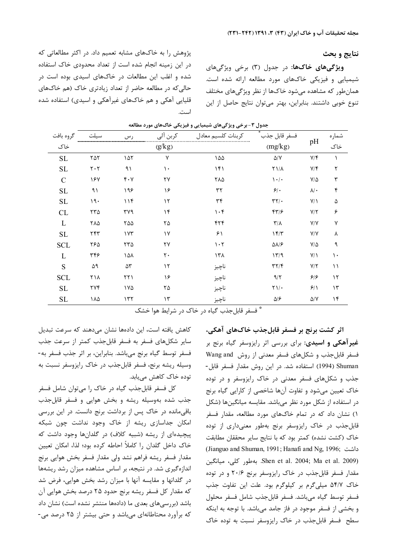نتايج و بحث

ویژگیهای خاکها: در جدول (۳) برخی ویژگیهای شیمیایی و فیزیکی خاکهای مورد مطالعه ارائه شده است. همان طور که مشاهده می شود خاکها از نظر ویژگیهای مختلف تنوع خوبی داشتند. بنابراین، بهتر میتوان نتایج حاصل از این

پژوهش را به خاکهای مشابه تعمیم داد. در اکثر مطالعاتی که در این زمینه انجام شده است از تعداد محدودی خاک استفاده شده و اغلب این مطالعات در خاکهای اسیدی بوده است در حالی که در مطالعه حاضر از تعداد زیادتری خاک (هم خاکهای قلیایی آهکی و هم خاکهای غیرآهکی و اسیدی) استفاده شده

| گروه بافت           | 1ت                            | ر سي                            | كربن آلي      | كربنات كلسيم معادل              | فسفر قابل جذب                   |                         | شماره         |
|---------------------|-------------------------------|---------------------------------|---------------|---------------------------------|---------------------------------|-------------------------|---------------|
| خاک                 |                               |                                 | (g/kg)        |                                 | (mg/kg)                         | pH                      | خاک           |
| $\operatorname{SL}$ | ۲۵۲                           | ۱۵۲                             | ٧             | ۱۵۵                             | $\Delta/\rm{V}$                 | $Y/\mathfrak{F}$        |               |
| SL                  | $\mathbf{Y} \cdot \mathbf{Y}$ | ۹۱                              | $\mathcal{L}$ | 141                             | $Y$ $/\Lambda$                  | $Y/\mathfrak{F}$        | ٢             |
| $\mathcal{C}$       | ١۶٧                           | $\mathfrak{r}\cdot\mathfrak{v}$ | ٢٧            | ۲۸۵                             | $\mathcal{N} \cdot \mathcal{N}$ | $V/\Delta$              | ٣             |
| SL                  | ۹۱                            | ۱۹۶                             | ۱۶            | ٣٢                              | $5$ .                           | $\lambda/\cdot$         | ۴             |
| SL                  | 19.                           | 11f                             | $\gamma$      | ٣۴                              | $\tau\tau/\cdot$                | $Y/\Lambda$             | ۵             |
| CL                  | $\tau\tau\Delta$              | ۳۷۹                             | $\mathcal{N}$ | $\cdot$ ۴                       | 449                             | Y/Y                     | ۶             |
| L                   | ۲۸۵                           | ۲۵۵                             | ۲۵            | ۴۲۴                             | $\mathbf{r}/\mathbf{v}$         | $\mathsf{Y}/\mathsf{Y}$ | ٧             |
| $\operatorname{SL}$ | ٢۴٣                           | ۱۷۳                             | $\gamma$      | ۶۱                              | 15/7                            | $\mathsf{Y}/\mathsf{Y}$ | ٨             |
| <b>SCL</b>          | ٢۶۵                           | ۲۳۵                             | ۲۷            | $\mathcal{N} \cdot \mathcal{N}$ | $\Delta\lambda/\mathcal{F}$     | $V/\Delta$              | ٩             |
| L                   | ٣۴۶                           | ۱۵۸                             | ٢٠            | ۱۳۸                             | 1779                            | $Y/\Lambda$             | $\mathcal{L}$ |
| S                   | ۵۹                            | $\Delta\mathsf{Y}$              | $\gamma$      | ناچيز                           | $\Upsilon \Upsilon / \Upsilon$  | Y/Y                     | ۱۱            |
| <b>SCL</b>          | ۲۱۸                           | ۲۲۱                             | ۱۶            | ناچيز                           | 9/7                             | 5/5                     | $\mathcal{N}$ |
| SL                  | ۲۷۴                           | ۱۷۵                             | ۲۵            | ناچيز                           | $\Upsilon$ )/.                  | 9/1                     | $\mathcal{N}$ |
| $\operatorname{SL}$ | ١٨۵                           | 157                             | $\mathcal{N}$ | ناچيز                           | $\Delta/\mathcal{F}$            | $\Delta/\rm{V}$         | $\mathcal{M}$ |

جدول ۳- برخی ویژگیهای شیمیایی و فیزیکی خاکهای مورد مطالعه

\* فسفر قابل جذب گیاه در خاک در شرایط هوا خشک

اثر کشت برنج بر فسفر قابلجذب خاکهای آهکی، **غیر آهکی و اسیدی**: برای بررسی اثر رایزوسفر گیاه برنج بر فسفر قابل جذب و شکلهای فسفر معدنی از روش Wang and Shuman (1994) استفاده شد. در این روش مقدار فسفر قابل-جذب و شکلهای فسفر معدنی در خاک رایزوسفر و در توده خاک تعیین میشود و تفاوت آنها شاخصی از کارایی گیاه برنج در استفاده از شکل مورد نظر میباشد. مقایسه میانگینها (شکل ۱) نشان داد که در تمام خاکهای مورد مطالعه، مقدار فسفر قابل جذب در خاک رایزوسفر برنج بهطور معنیداری از توده خاک (کشت نشده) کمتر بود که با نتایج سایر محققان مطابقت (Jianguo and Shuman, 1991; Hanafi and Ng, 1996; داشت Shen et al. 2004; Ma et al. 2009). بهطور كلي، ميانگين مقدار فسفر قابل جذب در خاک رایزوسفر برنج ۲۰/۶ و در توده خاک ۵۴/۷ میلیگرم بر کیلوگرم بود. علت این تفاوت جذب فسفر توسط گياه مي باشد. فسفر قابل جذب شامل فسفر محلول و بخشی از فسفر موجود در فاز جامد میباشد. با توجه به اینکه سطح فسفر قابل جذب در خاک رایزوسفر نسبت به توده خاک

کاهش یافته است، این دادهها نشان میدهند که سرعت تبدیل سایر شکلهای فسفر به فسفر قابلجذب کمتر از سرعت جذب فسفر توسط گیاه برنج میباشد. بنابراین، بر اثر جذب فسفر به-وسیله ریشه برنج، فسفر قابلجذب در خاک رایزوسفر نسبت به توده خاک کاهش مییابد.

کل فسفر قابل جذب گیاه در خاک را می توان شامل فسفر جذب شده بهوسیله ریشه و بخش هوایی و فسفر قابلجذب باقی مانده در خاک پس از برداشت برنج دانست. در این بررسی امکان جداسازی ریشه از خاک وجود نداشت چون شبکه پیچیدهای از ریشه (شبیه کلاف) در گلدانها وجود داشت که خاک داخل گلدان را کاملاً احاطه کرده بود؛ لذا، امکان تعیین مقدار فسفر ريشه فراهم نشد ولى مقدار فسفر بخش هوايي برنج اندازهگیری شد. در نتیجه، بر اساس مشاهده میزان رشد ریشهها در گلدانها و مقایسه آنها با میزان رشد بخش هوایی، فرض شد که مقدار کل فسفر ریشه برنج حدود ۲۵ درصد بخش هوایی آن باشد (بررسیهای بعدی ما (دادهها منتشر نشده است) نشان داد که برآورد محتاطانهای میباشد و حتی بیشتر از ۲۵ درصد می-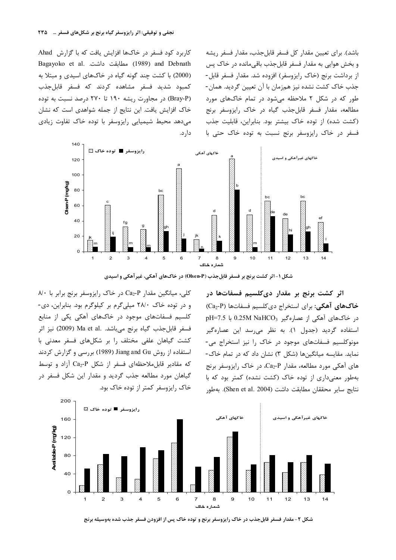کاربرد کود فسفر در خاکها افزایش یافت که با گزارش Ahad Bagayoko et al. مطابقت داشت. Bagayoko et al. (2000) با کشت چند گونه گیاه در خاکهای اسیدی و مبتلا به كمبود شديد فسفر مشاهده كردند كه فسفر قابل جذب (Bray-P) در مجاورت ریشه ۱۹۰ تا ۲۷۰ درصد نسبت به توده خاک افزایش یافت. این نتایج از جمله شواهدی است که نشان مے دھد محیط شیمیایی رایزوسفر با تودہ خاک تفاوت زیادی دار د.

باشد). برای تعیین مقدار کل فسفر قابل جذب، مقدار فسفر ریشه و بخش هوايي به مقدار فسفر قابل جذب باقي مانده در خاک پس از برداشت برنج (خاک رایزوسفر) افزوده شد. مقدار فسفر قابل-جذب خاک کشت نشده نیز همزمان با آن تعیین گردید. همان-طور که در شکل ۲ ملاحظه می شود در تمام خاکهای مورد مطالعه، مقدار فسفر قابل جذب گیاه در خاک رایزوسفر برنج (کشت شده) از توده خاک بیشتر بود. بنابراین، قابلیت جذب فسفر در خاک رایزوسفر برنج نسبت به توده خاک حتی با



شکل ۱-اثر کشت برنج بر فسفر قابل جذب (Olsen-P) در خاک های آهکی، غیرآهکی و اسیدی

اثر کشت برنج بر مقدار دیکلسیم فسفاتها در خاکهای آهکی: برای استخراج دی کلسیم فسفاتها (Ca2-P)  $pH=7.5$  در خاکهای آهکی از عصارهگیر 0.25M NaHCO<sub>3</sub> استفاده گردید (جدول ۱). به نظر می رسد این عصارهگیر مونوکلسیم فسفاتهای موجود در خاک را نیز استخراج می-نماید. مقایسه میانگینها (شکل ۳) نشان داد که در تمام خاک-های آهکی مورد مطالعه، مقدار Ca2-P، در خاک رایزوسفر برنج بهطور معنی داری از توده خاک (کشت نشده) کمتر بود که با نتايج ساير محققان مطابقت داشت (Shen et al. 2004). بهطور

کلی، میانگین مقدار Ca<sub>2</sub>-P در خاک رایزوسفر برنج برابر با ۸۰ و در توده خاک ٢٨/٠ ميلي گرم بر کيلوگرم بود. بنابراين، دي-کلسیم فسفاتهای موجود در خاکهای آهکی یکی از منابع فسفر قابل جذب گياه برنج مي باشد. .Ma et al (2009) نيز اثر کشت گیاهان علفی مختلف را بر شکلهای فسفر معدنی با استفاده از روش Jiang and Gu (1989) بررسی و گزارش کردند که مقادیر قابل ملاحظهای فسفر از شکل Ca2-P آزاد و توسط گیاهان مورد مطالعه جذب گردید و مقدار این شکل فسفر در خاک رایزوسفر کمتر از توده خاک بود.



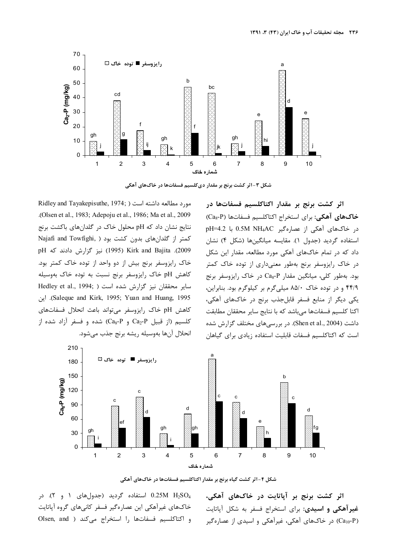

شکل ۳-اثر کشت برنج بر مقدار دیکلسیم فسفاتها در خاکهای آهکی

مورد مطالعه داشته است ( Ridley and Tayakepisuthe, 1974; .(Olsen et al., 1983; Adepoju et al., 1986; Ma et al., 2009 نتايج نشان داد كه pH محلول خاك در گلدانهاى باكشت برنج Najafi and Towfighi, ) كمتر از گلدان های بدون كشت بود pH 2
\ 5 ( 1995 ) Kirk and Bajita .(2009 خاک رایزوسفر برنج بیش از دو واحد از توده خاک کمتر بود. كاهش pH خاك رايزوسفر برنج نسبت به توده خاك بهوسيله سایر محققان نیز گزارش شده است ( ;Hedley et al., 1994 b .( Saleque and Kirk, 1995; Yuan and Huang, 1995 كاهش pH خاك رايزوسفر مى تواند باعث انحلال فسفاتهاى  $Ca_8-P$  و Ca<sub>8</sub>-P) شده و فسفر آزاد شده از Ca<sub>2</sub>-P انحلال آنها بەوسيلە ريشه برنج جذب مىشود.

اثر کشت برنج بر مقدار اکتاکلسیم فسفاتها در خاكهاي آهكي: براي استخراج اكتاكلسيم فسفاتها (Ca<sub>8</sub>-P) در خاکھای آھکی از عصارہگیر 0.5M NH4AC با pH=4.2 استفاده گردید (جدول ۱). مقایسه میانگینها (شکل ۴) نشان داد که در تمام خاکهای آهکی مورد مطالعه، مقدار این شکل در خاک رایزوسفر برنج بهطور معنیداری از توده خاک کمتر بود. بهطور کلی، میانگین مقدار Ca<sub>8</sub>-P در خاک رایزوسفر برنج ۴۴/۹ و در توده خاک ۸۵/۰ میلیگرم بر کیلوگرم بود. بنابراین، بکی دیگر از منابع فسفر قابلجذب برنج در خاکهای آهکی، اكتا كلسيم فسفاتها م<sub>ى </sub>باشد كه با نتايج ساير محققان مطابقت داشت (Shen et al., 2004). در بررسیهای مختلف گزارش شده است که اکتاکلسیم فسفات قابلیت استفاده زیادی برای گیاهان



شکل ۴-اثر کشت گیاه برنج بر مقدار اکتاکلسیم فسفاتها در خاکهای آهکی

استفاده گردید (جدولهای ۱ و ۲). در G استفاده گردید (جدولهای ۱ خاکهای غیرآهکی این عصارهگیر فسفر کانیهای گروه آپاتایت و اكتاكلسيم فسفاتها را استخراج مىكند ( Olsen, and

اثر کشت برنج بر آیاتایت در خاکهای آهکی، غیرآهکی و اسیدی: برای استخراج فسفر به شکل آپاتایت (Ca<sub>10</sub>-P) در خاکهای آهکی، غیرآهکی و اسیدی از عصارهگیر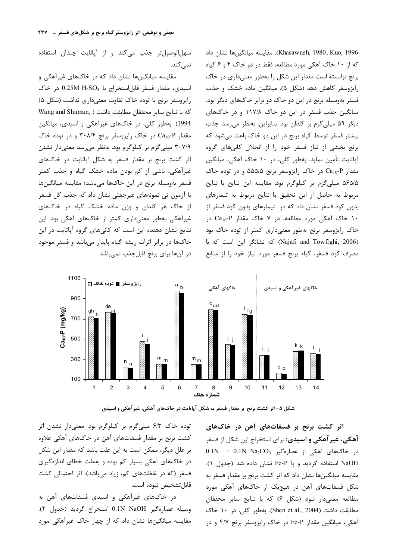سهل الوصول تر جذب می کند و از آپاتایت چندان استفاده نمے کند.

مقایسه میانگینها نشان داد که در خاکهای غیرآهکی و اسیدی، مقدار فسفر قابل استخراج با 0.25M H<sub>2</sub>SO4 در خاک رایزوسفر برنج با توده خاک تفاوت معنیداری نداشت (شکل ۵) Vang and Shuman, ) كه با نتايج ساير محققان مطابقت داشت 1994). بهطور کلی، در خاکهای غیرآهکی و اسیدی، میانگین مقدار Ca<sub>10</sub>-P در خاک رایزوسفر برنج ۳۰۸/۴ و در توده خاک ۳۰۷/۹ میلی گرم بر کیلوگرم بود. بهنظر میرسد معنیدار نشدن اثر کشت برنج بر مقدار فسفر به شکل آیاتایت در خاکهای غیرآهکی، ناشی از کم بودن ماده خشک گیاه و جذب کمتر فسفر بهوسيله برنج در اين خاكها مىباشد؛ مقايسه ميانگينها با آزمون تی نمونههای غیرجفتی نشان داد که جذب کل فسفر از خاک هر گلدان و وزن ماده خشک گیاه در خاکهای غیرآهکی بهطور معنیداری کمتر از خاکهای آهکی بود. این نتایج نشان دهنده این است که کانیهای گروه آیاتایت در این خاکها در برابر اثرات ریشه گیاه پایدار می باشد و فسفر موجود در آنها برای برنج قابلجذب نمیباشد. Khasawneh, 1980; Kuo, 1996). مقايسه ميانگينها نشان داد که از ۱۰ خاک آهکی مورد مطالعه، فقط در دو خاک ۴ و ۶ گیاه برنج توانسته است مقدار این شکل را بهطور معنیداری در خاک رایزوسفر کاهش دهد (شکل ۵). میانگین ماده خشک و جذب فسفر بهوسیله برنج در این دو خاک دو برابر خاکهای دیگر بود. میانگین جذب فسفر در این دو خاک ۱۱۷/۸ و در خاکهای دیگر ۵۹ میلی گرم بر گلدان بود. بنابراین، بهنظر می رسد جذب بیشتر فسفر توسط گیاه برنج در این دو خاک باعث می شود که برنج بخشی از نیاز فسفر خود را از انحلال کانیهای گروه آیاتایت تأمین نماید. بهطور کلی، در ۱۰ خاک آهکی، میانگین مقدار Ca<sub>10</sub>-P در خاک رایزوسفر برنج ۵۵۵/۵ و در توده خاک ۵۶۵/۵ میلی گرم بر کیلوگرم بود. مقایسه این نتایج با نتایج مربوط به حاصل از این تحقیق با نتایج مربوط به تیمارهای بدون کود فسفر نشان داد که در تیمارهای بدون کود فسفر از ۱۰ خاک آهکی مورد مطالعه، در ۷ خاک مقدار Ca<sub>10</sub>-P در خاک رایزوسفر برنج بهطور معنیداری کمتر از توده خاک بود (Najafi and Towfighi, 2006) كه نشانگر اين است كه با مصرف کود فسفر، گیاه برنج فسفر مورد نیاز خود را از منابع



شکل ۵-اثر کشت برنج بر مقدار فسفر به شکل آپاتایت در خاکهای آهکی، غیرآهکی و اسیدی

اثر کشت برنج بر فسفاتهای آهن در خاکهای **آهکی، غیر آهکی و اسیدی:** برای استخراج این شکل از فسفر  $0.1N$  +  $0.1N$  Na<sub>2</sub>CO<sub>3</sub> مماره گیر در خاکهای آهکی از عصاره گیر NaOH استفاده گردید و با Fe-P نشان داده شد (جدول ۱). مقایسه میانگینها نشان داد که اثر کشت برنج بر مقدار فسفر به شکل فسفاتهای آهن در هیچیک از خاکهای آهکی مورد مطالعه معنےدار نبود (شکل ۶) که با نتایج سایر محققان مطابقت داشت (Shen et al., 2004). بهطور کلی، در ١٠ خاک آهکی، میانگین مقدار Fe-P در خاک رایزوسفر برنج ۴/۷ و در

توده خاک ۶/۳ میلیگرم بر کیلوگرم بود. معنیدار نشدن اثر کشت برنج بر مقدار فسفاتهای آهن در خاکهای آهکی علاوه بر علل دیگر، ممکن است به این علت باشد که مقدار این شکل در خاکهای آهکی بسیار کم بوده و بهعلت خطای اندازهگیری فسفر (که در غلظتهای کم، زیاد میباشد)، اثر احتمالی کشت قابل تشخيص نبوده است.

در خاکهای غیرآهکی و اسیدی فسفاتهای آهن به وسيله عصارهگير O.1N NaOH استخراج گرديد (جدول ٢). مقایسه میانگینها نشان داد که از چهار خاک غیرآهکی مورد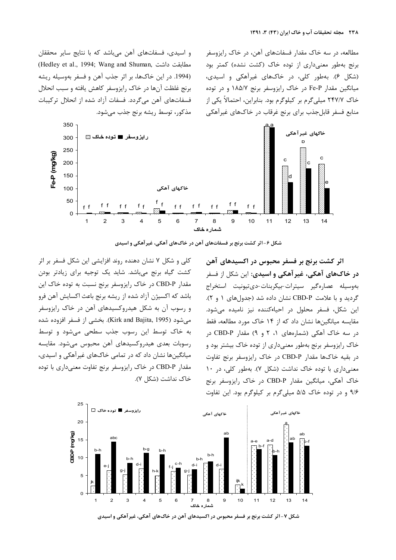و اسیدی، فسفاتهای آهن میباشد که با نتایج سایر محققان (Hedley et al., 1994; Wang and Shuman, مطابقت داشت (1994. در اين خاكها، بر اثر جذب آهن و فسفر بهوسيله ريشه برنج غلظت آنها در خاک رایزوسفر کاهش یافته و سبب انحلال فسفاتهای آهن میگردد. فسفات آزاد شده از انحلال ترکیبات مذكور، توسط ريشه برنج جذب مي شود. مطالعه، در سه خاک مقدار فسفاتهای آهن، در خاک رایزوسفر برنج بهطور معنیداری از توده خاک (کشت نشده) کمتر بود (شکل ۶). بهطور کلی، در خاکهای غیرآهکی و اسیدی، میانگین مقدار Fe-P در خاک رایزوسفر برنج ۱۸۵/۷ و در توده خاک ۲۴۷/۷ میلیگرم بر کیلوگرم بود. بنابراین، احتمالاً یکی از منابع فسفر قابلجذب براي برنج غرقاب در خاكهاي غيرآهكي



شکل ۶-اثر کشت برنج بر فسفاتهای آهن در خاکهای آهکی، غیرآهکی و اسیدی

اثر کشت برنج بر فسفر محبوس در اکسیدهای آهن **در خاکهای آهکی، غیر آهکی و اسیدی:** این شکل از فسفر بهوسيله عصارهگير سيترات-بيكربنات-دىتيونيت استخراج گردید و با علامت CBD-P نشان داده شد (جدولهای ۱ و ۲). این شکل، فسفر محلول در احیا،کننده نیز نامیده میشود. مقایسه میانگینها نشان داد که از ۱۴ خاک مورد مطالعه، فقط در سه خاک آهکی (شمارههای ۱، ۲ و ۹) مقدار CBD-P در خاک رایزوسفر برنج بهطور معنیداری از توده خاک بیشتر بود و در بقیه خاکها مقدار CBD-P در خاک رایزوسفر برنج تفاوت معنیداری با توده خاک نداشت (شکل ۷). بهطور کلی، در ۱۰ خاک آهکی، میانگین مقدار CBD-P در خاک رایزوسفر برنج ۹/۶ و در توده خاک ۵/۵ میلیگرم بر کیلوگرم بود. این تفاوت

کلی و شکل ۷ نشان دهنده روند افزایشی این شکل فسفر بر اثر کشت گیاه برنج میباشد. شاید یک توجیه برای زیادتر بودن مقدار CBD-P در خاک رایزوسفر برنج نسبت به توده خاک این باشد که اکسیژن آزاد شده از ریشه برنج باعث اکسایش آهن فرو و رسوب آن به شکل هیدروکسیدهای آهن در خاک رایزوسفر میشود (Kirk and Bajita, 1995). بخشی از فسفر افزوده شده به خاک توسط این رسوب جذب سطحی می شود و توسط رسوبات بعدی هیدروکسیدهای آهن محبوس میشود. مقایسه میانگینها نشان داد که در تمامی خاکهای غیرآهکی و اسیدی، مقدار CBD-P در خاک رایزوسفر برنج تفاوت معنی داری با توده خاک نداشت (شکل ۷).



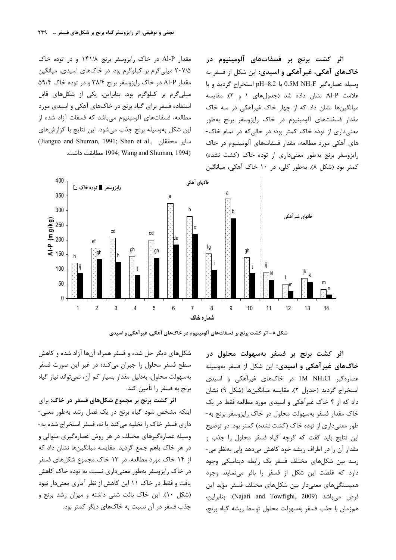مقدار Al-P در خاک رایزوسفر برنج ۱۴۱/۸ و در توده خاک ۲۰۷/۵ میلی گرم بر کیلوگرم بود. در خاکهای اسیدی، میانگین مقدار Al-P در خاک رایزوسفر برنج ۳۸/۴ و در توده خاک ۵۹/۴ میلیگرم بر کیلوگرم بود. بنابراین، یکی از شکلهای قابل استفاده فسفر برای گیاه برنج در خاکهای آهکی و اسیدی مورد مطالعه، فسفاتهای آلومینیوم میباشد که فسفات آزاد شده از این شکل بهوسیله برنج جذب میشود. این نتایج با گزارشهای ساير محققان ,Jianguo and Shuman, 1991; Shen et al. .مطابقت داشت. 1994; Wang and Shuman, 1994)

400 خاکهای آهکی اف ■ تعدد خاک ⊡ 350  $\overline{a}$ 300 .<br>خاکهای غیر آهک*ی*  $\frac{1}{2}$ <br>= 250<br>= 200  $cd$ c.d  $\frac{4}{5}$  150 100 50  $\overline{4}$ 5 8  $\overline{9}$  $\overline{2}$  $\mathbf{3}$  $6\,$  $\overline{7}$  $10$  $11$  $12$  $13$ شمار ہ خاک



اثر کشت برنج بر فسفر بهسهولت محلول در خاکهای غیرآهکی و اسیدی: این شکل از فسفر بهوسیله عصارهگیر IM NH4Cl در خاکهای غیرآهکی و اسیدی استخراج گردید (جدول ۲). مقایسه میانگینها (شکل ۹) نشان داد که از ۴ خاک غیرآهکی و اسیدی مورد مطالعه فقط در یک خاک مقدار فسفر بهسهولت محلول در خاک رایزوسفر برنج به-طور معنیداری از توده خاک (کشت نشده) کمتر بود. در توضیح این نتایج باید گفت که گرچه گیاه فسفر محلول را جذب و مقدار آن را در اطراف ریشه خود کاهش میدهد ولی بهنظر می-رسد بین شکلهای مختلف فسفر یک رابطه دینامیکی وجود دارد که غلظت این شکل از فسفر را بافر مینماید. وجود همبستگی،های معنیدار بین شکلهای مختلف فسفر مؤید این فرض می باشد (Najafi and Towfighi, 2009). بنابراین، همزمان با جذب فسفر بهسهولت محلول توسط ريشه گياه برنج،

اثر کشت برنج بر فسفاتهای آلومینیوم در

خاکهای آهکی، غیرآهکی و اسیدی: این شکل از فسفر به

وسيله عصارهگير 0.5M NH4F استخراج گرديد و با

علامت Al-P نشان داده شد (جدولهای ۱ و ۲). مقایسه

میانگینها نشان داد که از چهار خاک غیرآهکی در سه خاک

مقدار فسفاتهای آلومینیوم در خاک رایزوسفر برنج بهطور

معنیداری از توده خاک کمتر بود؛ در حالی که در تمام خاک-

های آهکی مورد مطالعه، مقدار فسفاتهای آلومینیوم در خاک

رایزوسفر برنج بهطور معنیداری از توده خاک (کشت نشده)

شکلهای دیگر حل شده و فسفر همراه آنها آزاد شده و کاهش سطح فسفر محلول را جبران میکند؛ در غیر این صورت فسفر بەسھولت محلول، بەدليل مقدار بسيار كم آن، نمى تواند نياز گياه برنج به فسفر را تأمين كند.

اثر کشت برنج بر مجموع شکلهای فسفر در خاک: برای اینکه مشخص شود گیاه برنج در یک فصل رشد بهطور معنی-داری فسفر خاک را تخلیه می کند یا نه، فسفر استخراج شده به-وسیله عصارهگیرهای مختلف در هر روش عصارهگیری متوالی و در هر خاک باهم جمع گردید. مقایسه میانگینها نشان داد که از ۱۴ خاک مورد مطالعه، در ۱۳ خاک مجموع شکلهای فسفر در خاک رایزوسفر بهطور معنیداری نسبت به توده خاک کاهش یافت و فقط در خاک ۱۱ این کاهش از نظر آماری معنیدار نبود (شکل ١٠). اين خاک بافت شني داشته و ميزان رشد برنج و جذب فسفر در آن نسبت به خاکهای دیگر کمتر بود.

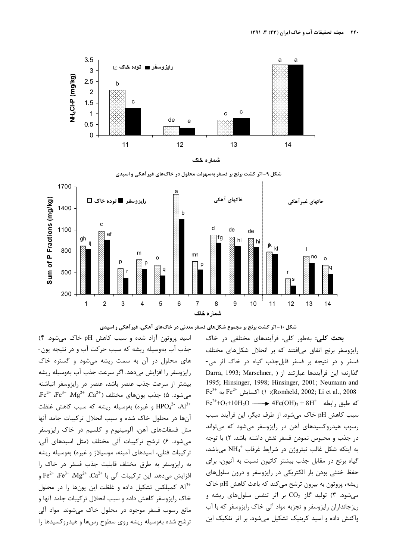



شکل ۹-اثر کشت برنج بر فسفر بهسهولت محلول در خاکهای غیر آهکی و اسیدی



شکل ۱۰-اثر کشت برنج بر مجموع شکلهای فسفر معدنی در خاکهای آهکی، غیرآهکی و اسیدی

اسید پروتون آزاد شده و سبب کاهش pH خاک می شود. ۴) جذب آب بهوسیله ریشه که سبب حرکت آب و در نتیجه یون-های محلول در آن به سمت ریشه می شود و گستره خاک رایزوسفر را افزایش میدهد. اگر سرعت جذب آب بهوسیله ریشه بیشتر از سرعت جذب عنصر باشد، عنصر در رایزوسفر انباشته  $\cdot \text{Fe}^{2+}$   $\cdot \text{Fe}^{3+}$   $\cdot \text{Mg}^{2+}$   $\cdot \text{Ca}^{2+}$  مختلف (2 $\cdot$  مختلف (4.5 میشود. ۵) و غيره) بهوسيله ريشه كه سبب كاهش غلظت HPO4 $^{2-}$   $\text{Al}^{3+}$ آنها در محلول خاک شده و سبب انحلال ترکیبات جامد آنها مثل فسفاتهای آهن، آلومینیوم و کلسیم در خاک رایزوسفر می شود. ۶) ترشح ترکیبات آلی مختلف (مثل اسیدهای آلی، ترکیبات فنلی، اسیدهای آمینه، موسیلاژ و غیره) بهوسیله ریشه به رايزوسفر به طرق مختلف قابليت جذب فسفر در خاک را  $\rm{Fe}^{2+}$  ،  $\rm{Fe}^{3+}$  ،  $\rm{Mg}^{2+}$  ،  $\rm{Ca}^{2+}$  ، افزایش می $\rm{Me}$ ، این ترکیبات آلی با کمیلکس تشکیل داده و غلظت این یونها را در محلول Al<sup>3+</sup> خاک رایزوسفر کاهش داده و سبب انحلال ترکیبات جامد آنها و مانع رسوب فسفر موجود در محلول خاک میشوند. مواد آلی ترشح شده بهوسیله ریشه روی سطوح رسها و هیدروکسیدها را

**بحث کلی:** بهطور کلی، فرآیندهای مختلفی در خاک رایزوسفر برنج اتفاق می افتند که بر انحلال شکلهای مختلف فسفر و در نتیجه بر فسفر قابل جذب گیاه در خاک اثر می-Darra, 1993; Marschner, ) أَكْدَارِند؛ اين فرآيندها عبارتند از 1995; Hinsinger, 1998; Hinsinger, 2001; Neumann and  $\text{Fe}^{3+}$  مه  $\text{Fe}^{2+}$  (1) :(Romheld, 2002; Li et al., 2008)  $Fe^{2+} + O_2 + 10H_2O$  → 4Fe(OH)<sub>3</sub> + 8H<sup>+</sup> (pdf) + 8H<sup>+</sup> سبب كاهش pH خاك مى شود. از طرف ديگر، اين فرآيند سبب رسوب هيدروكسيدهاي آهن در رايزوسفر مي شود كه مي تواند در جذب و محبوس نمودن فسفر نقش داشته باشد. ۲) با توجه به اینکه شکل غالب نیتروژن در شرایط غرقاب  $\mathrm{NH}_4^+$  میباشد، گیاه برنج در مقابل جذب بیشتر کاتیون نسبت به آنیون، برای حفظ خنثی بودن بار الکتریکی در رایزوسفر و درون سلولهای ریشه، پروتون به بیرون ترشح مے کند که باعث کاهش pH خاک میشود. ۳) تولید گاز  $\rm CO_2$  بر اثر تنفس سلولهای ریشه و ریزجانداران رایزوسفر و تجزیه مواد آلی خاک رایزوسفر که با آب واکنش داده و اسید کربنیک تشکیل میشود. بر اثر تفکیک این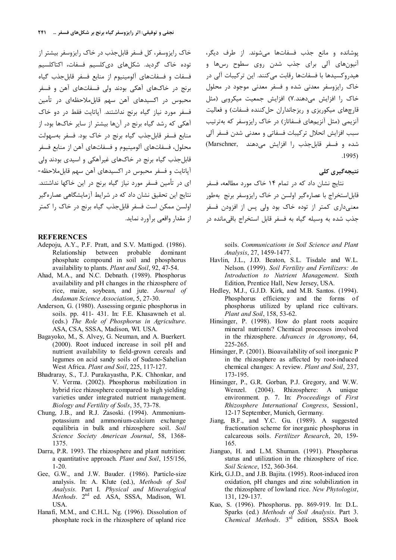خاک رایزوسفر، کل فسفر قابل جذب در خاک رایزوسفر بیشتر از توده خاک گردید. شکلهای دیکلسیم فسفات، اکتاکلسیم فسفات و فسفاتهای آلومینیوم از منابع فسفر قابل جذب گیاه برنج در خاکهای آهکی بودند ولی فسفاتهای آهن و فسفر محبوس در اکسیدهای آهن سهم قابل ملاحظهای در تأمین فسفر مورد نیاز گیاه برنج نداشتند. آیاتایت فقط در دو خاک آهکی که رشد گیاه برنج در آنها بیشتر از سایر خاکها بود، از منابع فسفر قابل جذب گياه برنج در خاک بود. فسفر بهسهولت محلول، فسفاتهای آلومینیوم و فسفاتهای آهن از منابع فسفر ۔<br>قابل جذب گیاه برنج در خاکھای غیرآھکے و اسیدی بودند ول*ی* آیاتایت و فسفر محبوس در اکسیدهای آهن سهم قابل ملاحظه-ای در تأمین فسفر مورد نیاز گیاه برنج در این خاکها نداشتند. نتایج این تحقیق نشان داد که در شرایط آزمایشگاهی عصارهگیر اولسن ممكن است فسفر قابل جذب گياه برنج در خاک را کمتر از مقدار واقعی برآورد نماید.

#### **REFERENCES**

- Adepoju, A.Y., P.F. Pratt, and S.V. Mattigod. (1986). Relationship between probable dominant phosphate compound in soil and phosphorus availability to plants. Plant and Soil, 92, 47-54.
- Ahad, M.A., and N.C. Debnath. (1989). Phosphorus availability and pH changes in the rhizosphere of rice, maize, soybean, and jute. Journal of Andaman Science Association, 5, 27-30.
- Anderson, G. (1980). Assessing organic phosphorus in soils. pp. 411- 431. In: F.E. Khasawneh et al. (eds.) The Role of Phosphorus in Agriculture. ASA, CSA, SSSA, Madison, WI. USA.
- Bagayoko, M., S. Alvey, G. Neuman, and A. Buerkert. (2000). Root induced increase in soil pH and nutrient availability to field-grown cereals and legumes on acid sandy soils of Sudano-Sahelian West Africa. Plant and Soil, 225, 117-127.
- Bhadraray, S., T.J. Purakayastha, P.K. Chhonkar, and V. Verma. (2002). Phosphorus mobilization in hybrid rice rhizosphere compared to high yielding varieties under integrated nutrient management. Biology and Fertility of Soils, 35, 73-78.
- Chung, J.B., and R.J. Zasoski. (1994). Ammoniumpotassium and ammonium-calcium exchange equilibria in bulk and rhizosphere soil. Soil Science Society American Journal, 58, 1368-1375
- Darra, P.R. 1993. The rhizosphere and plant nutrition: a quantitative approach. Plant and Soil, 155/156,  $1-20.$
- Gee, G.W., and J.W. Bauder. (1986). Particle-size analysis. In: A. Klute (ed.), Methods of Soil Analysis. Part I. Physical and Mineralogical Methods. 2<sup>nd</sup> ed. ASA, SSSA, Madison, WI. USA.
- Hanafi, M.M., and C.H.L. Ng. (1996). Dissolution of phosphate rock in the rhizosphere of upland rice

يوشانده و مانع جذب فسفاتها مي شوند. از طرف ديگر، آنیونهای آلی برای جذب شدن روی سطوح رسها و .<br>هیدروکسیدها با فسفاتها رقابت میکنند. این ترکیبات آلی در خاک رایزوسفر معدنی شده و فسفر معدنی موجود در محلول خاک ,ا افزایش میدهند.۷) افزایش جمعیت میکروپی (مثل قارچهای میکوریزی و ریزجانداران حل کننده فسفات) و فعالیت آنزیمی (مثل آنزیمهای فسفاتاز) در خاک رایزوسفر که بهترتیب سبب افزایش انحلال ترکیبات فسفاتی و معدنی شدن فسفر آلی شده و فسفر قابل جذب ,ا افزایش می دهند (Marschner,  $.1995)$ 

#### نتیجەگیری کلی

نتایج نشان داد که در تمام ۱۴ خاک مورد مطالعه، فسفر .<br>قابل|ستخراج با عصارهگیر اولسن در خاک رایزوسفر برنج بهطور معنے،داری کمتر از تودہ خاک بود ولی پس از افزودن فسفر جذب شده به وسیله گیاه به فسفر قابل استخراج باقی مانده در

> soils. Communications in Soil Science and Plant Analysis, 27, 1459-1477.

- Havlin, J.L., J.D. Beaton, S.L. Tisdale and W.L. Nelson. (1999). Soil Fertility and Fertilizers: An Introduction to Nutrient Management. Sixth Edition, Prentice Hall, New Jersey, USA.
- Hedley, M.J., G.J.D. Kirk, and M.B. Santos. (1994). Phosphorus efficiency and the forms of phosphorus utilized by upland rice cultivars. Plant and Soil, 158, 53-62.
- Hinsinger, P. (1998). How do plant roots acquire mineral nutrients? Chemical processes involved in the rhizosphere. Advances in Agronomy, 64, 225-265.
- Hinsinger, P. (2001). Bioavailability of soil inorganic P in the rhizosphere as affected by root-induced chemical changes: A review. Plant and Soil, 237, 173-195.
- Hinsinger, P., G.R. Gorban, P.J. Gregory, and W.W. Wenzel.  $(2004)$ . Rhizosphere: A unique environment. p. 7. In: Proceedings of First Rhizosphere International Congress, Session1, 12-17 September, Munich, Germany.
- Jiang, B.F., and Y.C. Gu. (1989). A suggested fractionation scheme for inorganic phosphorus in calcareous soils. Fertilizer Research, 20, 159-165
- Jianguo, H. and L.M. Shuman. (1991). Phosphorus status and utilization in the rhizosphere of rice. Soil Science, 152, 360-364.
- Kirk, G.J.D., and J.B. Bajita. (1995). Root-induced iron oxidation, pH changes and zinc solubilization in the rhizosphere of lowland rice. New Phytologist, 131, 129-137.
- Kuo, S. (1996). Phosphorus. pp. 869-919. In: D.L. Sparks (ed.) Methods of Soil Analysis. Part 3.<br>Chemical Methods. 3<sup>rd</sup> edition, SSSA Book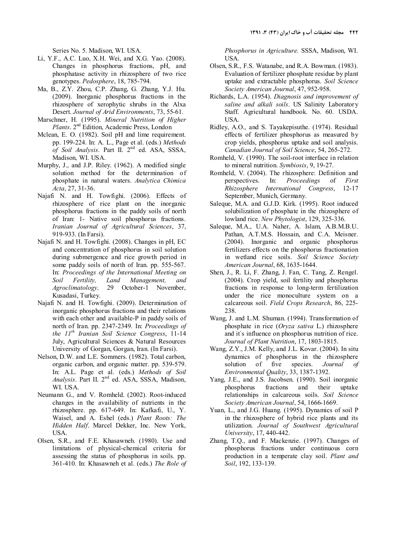Series No. 5. Madison, WI. USA.

- Li, Y.F., A.C. Luo, X.H. Wei, and X.G. Yao. (2008). Changes in phosphorus fractions, pH, and phosphatase activity in rhizosphere of two rice genotypes. Pedosphere, 18, 785-794.
- Ma, B., Z.Y. Zhou, C.P. Zhang, G. Zhang, Y.J. Hu. (2009). Inorganic phosphorus fractions in the rhizosphere of xerophytic shrubs in the Alxa Desert. Journal of Arid Environments, 73, 55-61.
- Marschner, H. (1995). Mineral Nutrition of Higher Plants. 2<sup>nd</sup> Edition, Academic Press, London
- Mclean, E. O. (1982). Soil pH and lime requirement. pp. 199-224. In: A. L., Page et al. (eds.) Methods of Soil Analysis. Part II. 2nd ed. ASA, SSSA, Madison, WI. USA.
- Murphy, J., and J.P. Riley. (1962). A modified single solution method for the determination of phosphate in natural waters. Analytica Chimica Acta, 27, 31-36.
- Najafi N. and H. Towfighi. (2006). Effects of rhizosphere of rice plant on the inorganic phosphorus fractions in the paddy soils of north of Iran: 1- Native soil phosphorus fractions. Iranian Journal of Agricultural Sciences, 37, 919-933. (In Farsi).
- Najafi N. and H. Towfighi. (2008). Changes in pH, EC and concentration of phosphorus in soil solution during submergence and rice growth period in some paddy soils of north of Iran. pp. 555-567. In: Proceedings of the International Meeting on Soil Fertility, Land Management, and Agroclimatology, 29 October-1 November, Kusadasi, Turkey.
- Najafi N. and H. Towfighi. (2009). Determination of inorganic phosphorus fractions and their relations with each other and available-P in paddy soils of north of Iran. pp. 2347-2349. In: Proceedings of the  $11^{th}$  Iranian Soil Science Congress, 11-14 July, Agricultural Sciences & Natural Resources University of Gorgan, Gorgan, Iran. (In Farsi).
- Nelson, D.W. and L.E. Sommers. (1982). Total carbon, organic carbon, and organic matter. pp. 539-579. In: A.L. Page et al. (eds.) Methods of Soil Analysis. Part II. 2<sup>nd</sup> ed. ASA, SSSA, Madison, WI. USA.
- Neumann G., and V. Romheld. (2002). Root-induced changes in the availability of nutrients in the rhizosphere. pp. 617-649. In: Kafkafi, U., Y. Waisel, and A. Eshel (eds.) Plant Roots: The Hidden Half. Marcel Dekker, Inc. New York, USA.
- Olsen, S.R., and F.E. Khasawneh. (1980). Use and limitations of physical-chemical criteria for assessing the status of phosphorus in soils. pp. 361-410. In: Khasawneh et al. (eds.) The Role of

Phosphorus in Agriculture. SSSA, Madison, WI. USA.

- Olsen, S.R., F.S. Watanabe, and R.A. Bowman. (1983). Evaluation of fertilizer phosphate residue by plant uptake and extractable phosphorus. Soil Science Society American Journal, 47, 952-958.
- Richards, L.A. (1954). Diagnosis and improvement of saline and alkali soils. US Salinity Laboratory Staff. Agricultural handbook. No. 60. USDA. USA.
- Ridley, A.O., and S. Tayakepisuthe. (1974). Residual effects of fertilizer phosphorus as measured by crop yields, phosphorus uptake and soil analysis. Canadian Journal of Soil Science, 54, 265-272.
- Romheld, V. (1990). The soil-root interface in relation to mineral nutrition. Symbiosis, 9, 19-27.
- Romheld, V. (2004). The rhizosphere: Definition and perspectives. In: Proceedings of First Rhizosphere International Congress, 12-17 September, Munich, Germany.
- Saleque, M.A. and G.J.D. Kirk. (1995). Root induced solubilization of phosphate in the rhizosphere of lowland rice. New Phytologist, 129, 325-336.
- Saleque, M.A., U.A. Naher, A. Islam, A.B.M.B.U. Pathan, A.T.M.S. Hossain, and C.A. Meisner. (2004). Inorganic and organic phosphorus fertilizers effects on the phosphorus fractionation in wetland rice soils. Soil Science Society American Journal, 68, 1635-1644.
- Shen, J., R. Li, F. Zhang, J. Fan, C. Tang, Z. Rengel. (2004). Crop yield, soil fertility and phosphorus fractions in response to long-term fertilization under the rice monoculture system on a calcareous soil. Field Crops Research, 86, 225- 238.
- Wang, J. and L.M. Shuman. (1994). Transformation of phosphate in rice (Oryza sativa L.) rhizosphere and it`s influence on phosphorus nutrition of rice. Journal of Plant Nutrition, 17, 1803-1815.
- Wang, Z.Y., J.M. Kelly, and J.L. Kovar. (2004). In situ dynamics of phosphorus in the rhizosphere solution of five species. Journal of Environmental Quality, 33, 1387-1392.
- Yang, J.E., and J.S. Jacobsen. (1990). Soil inorganic phosphorus fractions and their uptake relationships in calcareous soils. Soil Science Society American Journal, 54, 1666-1669.
- Yuan, L., and J.G. Huang. (1995). Dynamics of soil P in the rhizosphere of hybrid rice plants and its utilization. Journal of Southwest Agricultural University, 17, 440-442.
- Zhang, T.Q., and F. Mackenzie. (1997). Changes of phosphorus fractions under continuous corn production in a temperate clay soil. Plant and Soil, 192, 133-139.